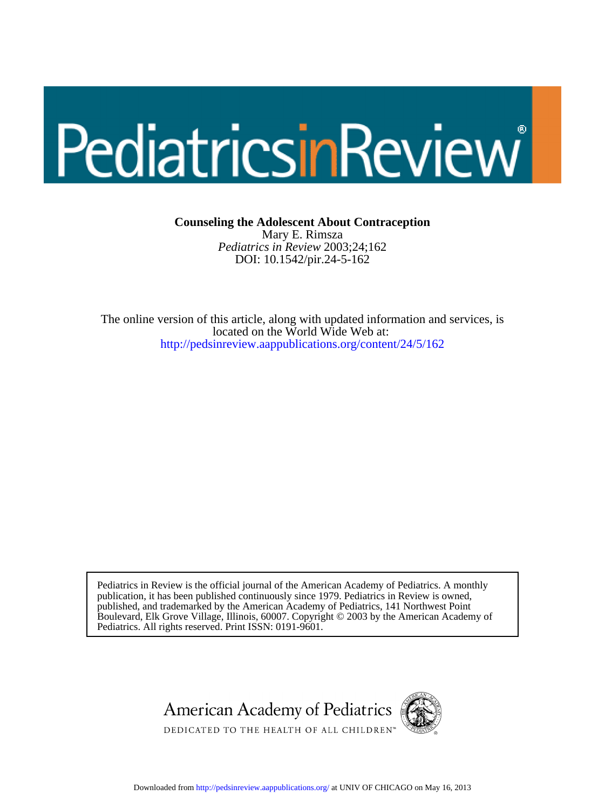

## **Counseling the Adolescent About Contraception**

DOI: 10.1542/pir.24-5-162 *Pediatrics in Review* 2003;24;162 Mary E. Rimsza

<http://pedsinreview.aappublications.org/content/24/5/162> located on the World Wide Web at: The online version of this article, along with updated information and services, is

Pediatrics. All rights reserved. Print ISSN: 0191-9601. Boulevard, Elk Grove Village, Illinois, 60007. Copyright © 2003 by the American Academy of published, and trademarked by the American Academy of Pediatrics, 141 Northwest Point publication, it has been published continuously since 1979. Pediatrics in Review is owned, Pediatrics in Review is the official journal of the American Academy of Pediatrics. A monthly



Downloaded from<http://pedsinreview.aappublications.org/>at UNIV OF CHICAGO on May 16, 2013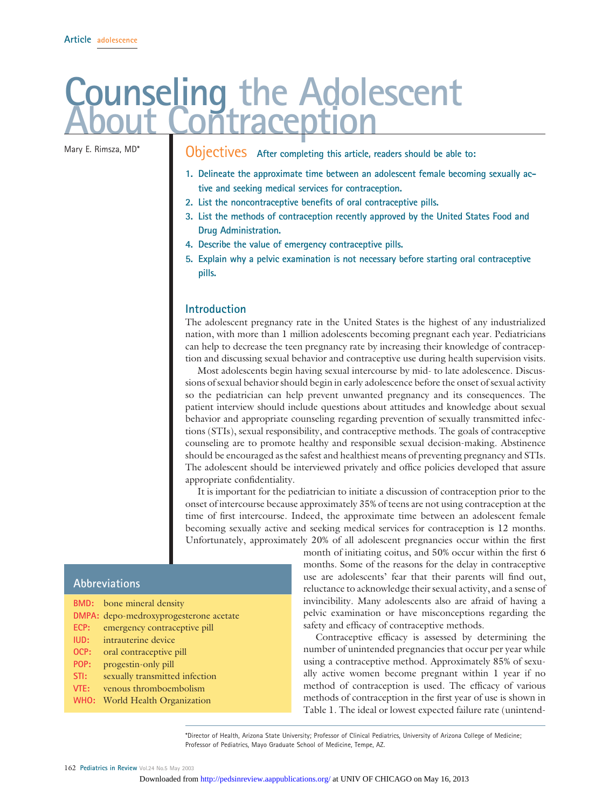# **unseling** the Adolescent

Mary E. Rimsza, MD\* **Objectives** After completing this article, readers should be able to:

- **1. Delineate the approximate time between an adolescent female becoming sexually active and seeking medical services for contraception.**
- **2. List the noncontraceptive benefits of oral contraceptive pills.**
- **3. List the methods of contraception recently approved by the United States Food and Drug Administration.**
- **4. Describe the value of emergency contraceptive pills.**
- **5. Explain why a pelvic examination is not necessary before starting oral contraceptive pills.**

## **Introduction**

The adolescent pregnancy rate in the United States is the highest of any industrialized nation, with more than 1 million adolescents becoming pregnant each year. Pediatricians can help to decrease the teen pregnancy rate by increasing their knowledge of contraception and discussing sexual behavior and contraceptive use during health supervision visits.

Most adolescents begin having sexual intercourse by mid- to late adolescence. Discussions of sexual behavior should begin in early adolescence before the onset of sexual activity so the pediatrician can help prevent unwanted pregnancy and its consequences. The patient interview should include questions about attitudes and knowledge about sexual behavior and appropriate counseling regarding prevention of sexually transmitted infections (STIs), sexual responsibility, and contraceptive methods. The goals of contraceptive counseling are to promote healthy and responsible sexual decision-making. Abstinence should be encouraged as the safest and healthiest means of preventing pregnancy and STIs. The adolescent should be interviewed privately and office policies developed that assure appropriate confidentiality.

It is important for the pediatrician to initiate a discussion of contraception prior to the onset of intercourse because approximately 35% of teens are not using contraception at the time of first intercourse. Indeed, the approximate time between an adolescent female becoming sexually active and seeking medical services for contraception is 12 months. Unfortunately, approximately 20% of all adolescent pregnancies occur within the first

## **Abbreviations**

| BMD: | bone mineral density                          |
|------|-----------------------------------------------|
|      | <b>DMPA:</b> depo-medroxyprogesterone acetate |
| ECP: | emergency contraceptive pill                  |
| IUD: | intrauterine device                           |
| OCP: | oral contraceptive pill                       |
| POP: | progestin-only pill                           |
| STI: | sexually transmitted infection                |
| VTE: | venous thromboembolism                        |
| WHO: | World Health Organization                     |

month of initiating coitus, and 50% occur within the first 6 months. Some of the reasons for the delay in contraceptive use are adolescents' fear that their parents will find out, reluctance to acknowledge their sexual activity, and a sense of invincibility. Many adolescents also are afraid of having a pelvic examination or have misconceptions regarding the safety and efficacy of contraceptive methods.

Contraceptive efficacy is assessed by determining the number of unintended pregnancies that occur per year while using a contraceptive method. Approximately 85% of sexually active women become pregnant within 1 year if no method of contraception is used. The efficacy of various methods of contraception in the first year of use is shown in Table 1. The ideal or lowest expected failure rate (unintend-

\*Director of Health, Arizona State University; Professor of Clinical Pediatrics, University of Arizona College of Medicine; Professor of Pediatrics, Mayo Graduate School of Medicine, Tempe, AZ.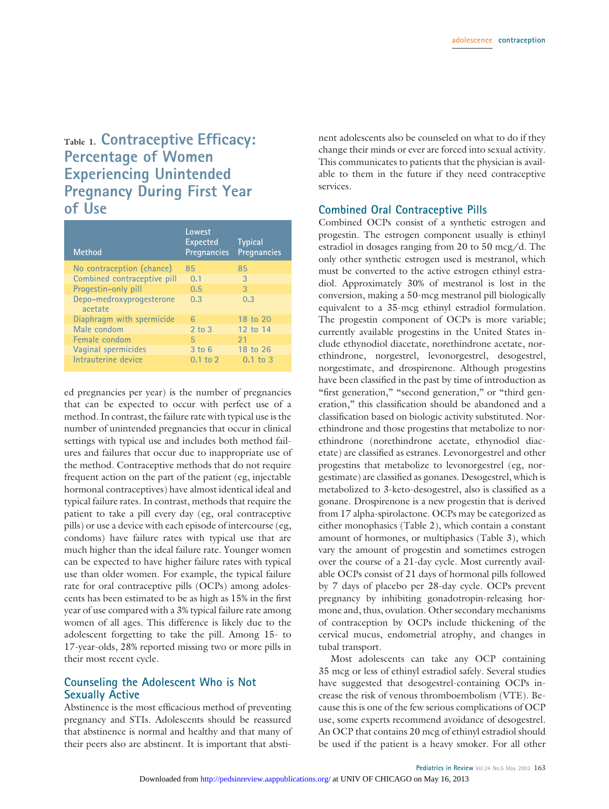# **Table 1. Contraceptive Efficacy: Percentage of Women Experiencing Unintended Pregnancy During First Year of Use**

| <b>Method</b>                       | Lowest<br><b>Expected</b><br>Pregnancies | <b>Typical</b><br>Pregnancies |
|-------------------------------------|------------------------------------------|-------------------------------|
| No contraception (chance)           | 85                                       | 85                            |
| Combined contraceptive pill         | 0.1                                      | 3                             |
| Progestin-only pill                 | 0.5                                      | 3                             |
| Depo-medroxyprogesterone<br>acetate | 0.3                                      | 0.3                           |
| Diaphragm with spermicide           | 6                                        | 18 to 20                      |
| Male condom                         | $2$ to $3$                               | 12 to 14                      |
| Female condom                       | 5                                        | 21                            |
| <b>Vaginal spermicides</b>          | $3$ to $6$                               | 18 to 26                      |
| Intrauterine device                 | $0.1$ to $2$                             | $0.1$ to $3$                  |

ed pregnancies per year) is the number of pregnancies that can be expected to occur with perfect use of a method. In contrast, the failure rate with typical use is the number of unintended pregnancies that occur in clinical settings with typical use and includes both method failures and failures that occur due to inappropriate use of the method. Contraceptive methods that do not require frequent action on the part of the patient (eg, injectable hormonal contraceptives) have almost identical ideal and typical failure rates. In contrast, methods that require the patient to take a pill every day (eg, oral contraceptive pills) or use a device with each episode of intercourse (eg, condoms) have failure rates with typical use that are much higher than the ideal failure rate. Younger women can be expected to have higher failure rates with typical use than older women. For example, the typical failure rate for oral contraceptive pills (OCPs) among adolescents has been estimated to be as high as 15% in the first year of use compared with a 3% typical failure rate among women of all ages. This difference is likely due to the adolescent forgetting to take the pill. Among 15- to 17-year-olds, 28% reported missing two or more pills in their most recent cycle.

## **Counseling the Adolescent Who is Not Sexually Active**

Abstinence is the most efficacious method of preventing pregnancy and STIs. Adolescents should be reassured that abstinence is normal and healthy and that many of their peers also are abstinent. It is important that abstinent adolescents also be counseled on what to do if they change their minds or ever are forced into sexual activity. This communicates to patients that the physician is available to them in the future if they need contraceptive services.

## **Combined Oral Contraceptive Pills**

Combined OCPs consist of a synthetic estrogen and progestin. The estrogen component usually is ethinyl estradiol in dosages ranging from 20 to 50 mcg/d. The only other synthetic estrogen used is mestranol, which must be converted to the active estrogen ethinyl estradiol. Approximately 30% of mestranol is lost in the conversion, making a 50-mcg mestranol pill biologically equivalent to a 35-mcg ethinyl estradiol formulation. The progestin component of OCPs is more variable; currently available progestins in the United States include ethynodiol diacetate, norethindrone acetate, norethindrone, norgestrel, levonorgestrel, desogestrel, norgestimate, and drospirenone. Although progestins have been classified in the past by time of introduction as "first generation," "second generation," or "third generation," this classification should be abandoned and a classification based on biologic activity substituted. Norethindrone and those progestins that metabolize to norethindrone (norethindrone acetate, ethynodiol diacetate) are classified as estranes. Levonorgestrel and other progestins that metabolize to levonorgestrel (eg, norgestimate) are classified as gonanes. Desogestrel, which is metabolized to 3-keto-desogestrel, also is classified as a gonane. Drospirenone is a new progestin that is derived from 17 alpha-spirolactone. OCPs may be categorized as either monophasics (Table 2), which contain a constant amount of hormones, or multiphasics (Table 3), which vary the amount of progestin and sometimes estrogen over the course of a 21-day cycle. Most currently available OCPs consist of 21 days of hormonal pills followed by 7 days of placebo per 28-day cycle. OCPs prevent pregnancy by inhibiting gonadotropin-releasing hormone and, thus, ovulation. Other secondary mechanisms of contraception by OCPs include thickening of the cervical mucus, endometrial atrophy, and changes in tubal transport.

Most adolescents can take any OCP containing 35 mcg or less of ethinyl estradiol safely. Several studies have suggested that desogestrel-containing OCPs increase the risk of venous thromboembolism (VTE). Because this is one of the few serious complications of OCP use, some experts recommend avoidance of desogestrel. An OCP that contains 20 mcg of ethinyl estradiol should be used if the patient is a heavy smoker. For all other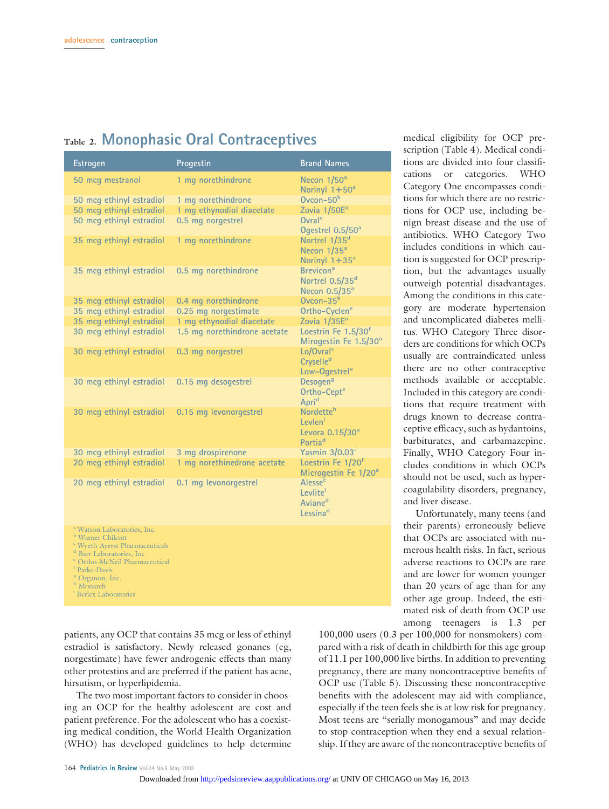# **Table 2. Monophasic Oral Contraceptives**

| <b>Estrogen</b>                                                                                                                                                                                                                                                                                                              | Progestin                    | <b>Brand Names</b>                                                                                 |
|------------------------------------------------------------------------------------------------------------------------------------------------------------------------------------------------------------------------------------------------------------------------------------------------------------------------------|------------------------------|----------------------------------------------------------------------------------------------------|
| 50 mcg mestranol                                                                                                                                                                                                                                                                                                             | 1 mg norethindrone           | Necon 1/50 <sup>a</sup><br>Norinyl $1+50^a$                                                        |
| 50 mcg ethinyl estradiol                                                                                                                                                                                                                                                                                                     | 1 mg norethindrone           | Ovcon-50 <sup>b</sup>                                                                              |
| 50 mcg ethinyl estradiol                                                                                                                                                                                                                                                                                                     | 1 mg ethynodiol diacetate    | Zovia 1/50E <sup>a</sup>                                                                           |
| 50 mcg ethinyl estradiol                                                                                                                                                                                                                                                                                                     | 0.5 mg norgestrel            | $0$ vral $c$<br>Ogestrel 0.5/50 <sup>a</sup>                                                       |
| 35 mcg ethinyl estradiol                                                                                                                                                                                                                                                                                                     | 1 mg norethindrone           | Nortrel 1/35 <sup>d</sup><br>Necon $1/35^a$<br>Norinyl $1+35^a$                                    |
| 35 mcg ethinyl estradiol                                                                                                                                                                                                                                                                                                     | 0.5 mg norethindrone         | <b>Brevicon</b> <sup>a</sup><br>Nortrel 0.5/35 <sup>d</sup><br>Necon 0.5/35 <sup>a</sup>           |
| 35 mcg ethinyl estradiol                                                                                                                                                                                                                                                                                                     | 0.4 mg norethindrone         | Ovcon- $35^b$                                                                                      |
| 35 mcg ethinyl estradiol                                                                                                                                                                                                                                                                                                     | 0.25 mg norgestimate         | Ortho-Cyclen <sup>e</sup>                                                                          |
| 35 mcg ethinyl estradiol                                                                                                                                                                                                                                                                                                     | 1 mg ethynodiol diacetate    | Zovia 1/35E <sup>a</sup>                                                                           |
| 30 mcg ethinyl estradiol                                                                                                                                                                                                                                                                                                     | 1.5 mg norethindrone acetate | Loestrin Fe 1.5/30 <sup>t</sup><br>Mirogestin Fe 1.5/30 <sup>a</sup>                               |
| 30 mcg ethinyl estradiol                                                                                                                                                                                                                                                                                                     | 0.3 mg norgestrel            | Lo/Ovral <sup>c</sup><br>Cryselle <sup>d</sup><br>Low-Ogestrel <sup>a</sup>                        |
| 30 mcg ethinyl estradiol                                                                                                                                                                                                                                                                                                     | 0.15 mg desogestrel          | <b>Desogen<sup>g</sup></b><br>Ortho-Cept <sup>e</sup><br>Aprid                                     |
| 30 mcg ethinyl estradiol                                                                                                                                                                                                                                                                                                     | 0.15 mg levonorgestrel       | Nordette <sup>h</sup><br>Levlen <sup>i</sup><br>Levora 0.15/30 <sup>a</sup><br>Portia <sup>d</sup> |
| 30 mcg ethinyl estradiol                                                                                                                                                                                                                                                                                                     | 3 mg drospirenone            | Yasmin $3/0.03$ <sup>1</sup>                                                                       |
| 20 mcg ethinyl estradiol                                                                                                                                                                                                                                                                                                     | 1 mg norethinedrone acetate  | Loestrin Fe 1/20 <sup>f</sup><br>Microgestin Fe 1/20 <sup>a</sup>                                  |
| 20 mcg ethinyl estradiol                                                                                                                                                                                                                                                                                                     | 0.1 mg levonorgestrel        | Alesse <sup>c</sup><br>Levlite <sup>i</sup><br>Aviane <sup>d</sup><br>Lessina <sup>d</sup>         |
| <sup>a</sup> Watson Laboratories, Inc.<br><sup>b</sup> Warner Chilcott<br><sup>c</sup> Wyeth-Ayerst Pharmaceuticals<br><sup>d</sup> Barr Laboratories, Inc<br><sup>e</sup> Ortho-McNeil Pharmaceutical<br><sup>f</sup> Parke-Davis<br><sup>g</sup> Organon, Inc.<br><sup>h</sup> Monarch<br><sup>1</sup> Berlex Laboratories |                              |                                                                                                    |

medical eligibility for OCP prescription (Table 4). Medical conditions are divided into four classifications or categories. WHO Category One encompasses conditions for which there are no restrictions for OCP use, including benign breast disease and the use of antibiotics. WHO Category Two includes conditions in which caution is suggested for OCP prescription, but the advantages usually outweigh potential disadvantages. Among the conditions in this category are moderate hypertension and uncomplicated diabetes mellitus. WHO Category Three disorders are conditions for which OCPs usually are contraindicated unless there are no other contraceptive methods available or acceptable. Included in this category are conditions that require treatment with drugs known to decrease contraceptive efficacy, such as hydantoins, barbiturates, and carbamazepine. Finally, WHO Category Four includes conditions in which OCPs should not be used, such as hypercoagulability disorders, pregnancy, and liver disease.

Unfortunately, many teens (and their parents) erroneously believe that OCPs are associated with numerous health risks. In fact, serious adverse reactions to OCPs are rare and are lower for women younger than 20 years of age than for any other age group. Indeed, the estimated risk of death from OCP use among teenagers is 1.3 per

patients, any OCP that contains 35 mcg or less of ethinyl estradiol is satisfactory. Newly released gonanes (eg, norgestimate) have fewer androgenic effects than many other protestins and are preferred if the patient has acne, hirsutism, or hyperlipidemia.

The two most important factors to consider in choosing an OCP for the healthy adolescent are cost and patient preference. For the adolescent who has a coexisting medical condition, the World Health Organization (WHO) has developed guidelines to help determine

100,000 users (0.3 per 100,000 for nonsmokers) compared with a risk of death in childbirth for this age group of 11.1 per 100,000 live births. In addition to preventing pregnancy, there are many noncontraceptive benefits of OCP use (Table 5). Discussing these noncontraceptive benefits with the adolescent may aid with compliance, especially if the teen feels she is at low risk for pregnancy. Most teens are "serially monogamous" and may decide to stop contraception when they end a sexual relationship. If they are aware of the noncontraceptive benefits of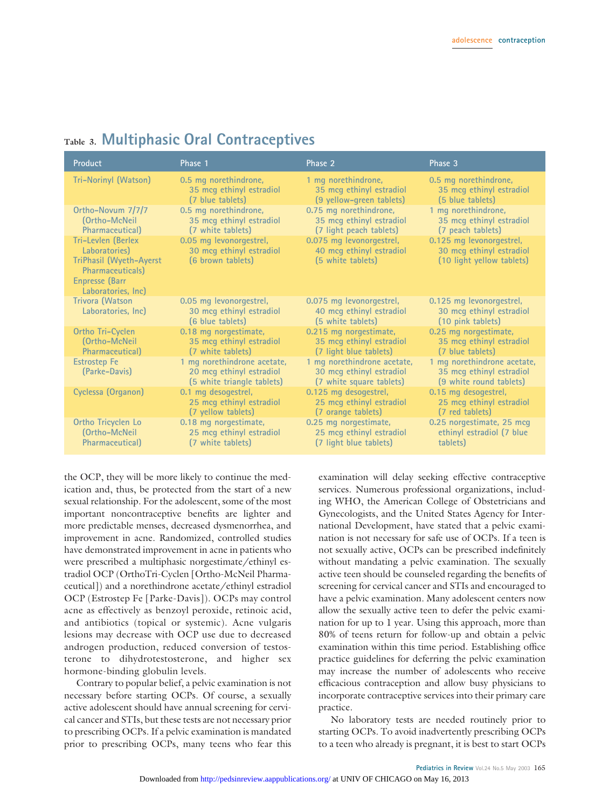| <b>Product</b>                                                                                                                     | Phase 1                                                                               | Phase 2                                                                             | Phase 3                                                                            |
|------------------------------------------------------------------------------------------------------------------------------------|---------------------------------------------------------------------------------------|-------------------------------------------------------------------------------------|------------------------------------------------------------------------------------|
| Tri-Norinyl (Watson)                                                                                                               | 0.5 mg norethindrone,                                                                 | 1 mg norethindrone,                                                                 | 0.5 mg norethindrone,                                                              |
|                                                                                                                                    | 35 mcg ethinyl estradiol                                                              | 35 mcg ethinyl estradiol                                                            | 35 mcg ethinyl estradiol                                                           |
|                                                                                                                                    | (7 blue tablets)                                                                      | (9 yellow-green tablets)                                                            | (5 blue tablets)                                                                   |
| Ortho-Novum 7/7/7                                                                                                                  | 0.5 mg norethindrone,                                                                 | 0.75 mg norethindrone,                                                              | 1 mg norethindrone,                                                                |
| (Ortho-McNeil)                                                                                                                     | 35 mcg ethinyl estradiol                                                              | 35 mcg ethinyl estradiol                                                            | 35 mcg ethinyl estradiol                                                           |
| Pharmaceutical)                                                                                                                    | (7 white tablets)                                                                     | (7 light peach tablets)                                                             | (7 peach tablets)                                                                  |
| Tri-Levlen (Berlex<br>Laboratories)<br>TriPhasil (Wyeth-Ayerst<br>Pharmaceuticals)<br><b>Enpresse (Barr)</b><br>Laboratories, Inc) | 0.05 mg levonorgestrel,<br>30 mcg ethinyl estradiol<br>(6 brown tablets)              | 0.075 mg levonorgestrel,<br>40 mcg ethinyl estradiol<br>(5 white tablets)           | 0.125 mg levonorgestrel,<br>30 mcg ethinyl estradiol<br>(10 light yellow tablets)  |
| <b>Trivora (Watson</b><br>Laboratories, Inc)                                                                                       | 0.05 mg levonorgestrel,<br>30 mcg ethinyl estradiol<br>(6 blue tablets)               | 0.075 mg levonorgestrel,<br>40 mcg ethinyl estradiol<br>(5 white tablets)           | 0.125 mg levonorgestrel,<br>30 mcg ethinyl estradiol<br>(10 pink tablets)          |
| Ortho Tri-Cyclen                                                                                                                   | 0.18 mg norgestimate,                                                                 | 0.215 mg norgestimate,                                                              | 0.25 mg norgestimate,                                                              |
| (Ortho-McNeil                                                                                                                      | 35 mcg ethinyl estradiol                                                              | 35 mcg ethinyl estradiol                                                            | 35 mcg ethinyl estradiol                                                           |
| Pharmaceutical)                                                                                                                    | (7 white tablets)                                                                     | (7 light blue tablets)                                                              | (7 blue tablets)                                                                   |
| <b>Estrostep Fe</b><br>(Parke-Davis)                                                                                               | 1 mg norethindrone acetate,<br>20 mcg ethinyl estradiol<br>(5 white triangle tablets) | 1 mg norethindrone acetate,<br>30 mcg ethinyl estradiol<br>(7 white square tablets) | 1 mg norethindrone acetate,<br>35 mcg ethinyl estradiol<br>(9 white round tablets) |
| Cyclessa (Organon)                                                                                                                 | 0.1 mg desogestrel,                                                                   | 0.125 mg desogestrel,                                                               | 0.15 mg desogestrel,                                                               |
|                                                                                                                                    | 25 mcg ethinyl estradiol                                                              | 25 mcg ethinyl estradiol                                                            | 25 mcg ethinyl estradiol                                                           |
|                                                                                                                                    | (7 yellow tablets)                                                                    | (7 orange tablets)                                                                  | (7 red tablets)                                                                    |
| Ortho Tricyclen Lo                                                                                                                 | 0.18 mg norgestimate,                                                                 | 0.25 mg norgestimate,                                                               | 0.25 norgestimate, 25 mcg                                                          |
| (Ortho-McNeil)                                                                                                                     | 25 mcg ethinyl estradiol                                                              | 25 mcg ethinyl estradiol                                                            | ethinyl estradiol (7 blue                                                          |
| Pharmaceutical)                                                                                                                    | (7 white tablets)                                                                     | (7 light blue tablets)                                                              | tablets)                                                                           |
|                                                                                                                                    |                                                                                       |                                                                                     |                                                                                    |

# **Table 3. Multiphasic Oral Contraceptives**

the OCP, they will be more likely to continue the medication and, thus, be protected from the start of a new sexual relationship. For the adolescent, some of the most important noncontraceptive benefits are lighter and more predictable menses, decreased dysmenorrhea, and improvement in acne. Randomized, controlled studies have demonstrated improvement in acne in patients who were prescribed a multiphasic norgestimate/ethinyl estradiol OCP (OrthoTri-Cyclen [Ortho-McNeil Pharmaceutical]) and a norethindrone acetate/ethinyl estradiol OCP (Estrostep Fe [Parke-Davis]). OCPs may control acne as effectively as benzoyl peroxide, retinoic acid, and antibiotics (topical or systemic). Acne vulgaris lesions may decrease with OCP use due to decreased androgen production, reduced conversion of testosterone to dihydrotestosterone, and higher sex hormone-binding globulin levels.

Contrary to popular belief, a pelvic examination is not necessary before starting OCPs. Of course, a sexually active adolescent should have annual screening for cervical cancer and STIs, but these tests are not necessary prior to prescribing OCPs. If a pelvic examination is mandated prior to prescribing OCPs, many teens who fear this

examination will delay seeking effective contraceptive services. Numerous professional organizations, including WHO, the American College of Obstetricians and Gynecologists, and the United States Agency for International Development, have stated that a pelvic examination is not necessary for safe use of OCPs. If a teen is not sexually active, OCPs can be prescribed indefinitely without mandating a pelvic examination. The sexually active teen should be counseled regarding the benefits of screening for cervical cancer and STIs and encouraged to have a pelvic examination. Many adolescent centers now allow the sexually active teen to defer the pelvic examination for up to 1 year. Using this approach, more than 80% of teens return for follow-up and obtain a pelvic examination within this time period. Establishing office practice guidelines for deferring the pelvic examination may increase the number of adolescents who receive efficacious contraception and allow busy physicians to incorporate contraceptive services into their primary care practice.

No laboratory tests are needed routinely prior to starting OCPs. To avoid inadvertently prescribing OCPs to a teen who already is pregnant, it is best to start OCPs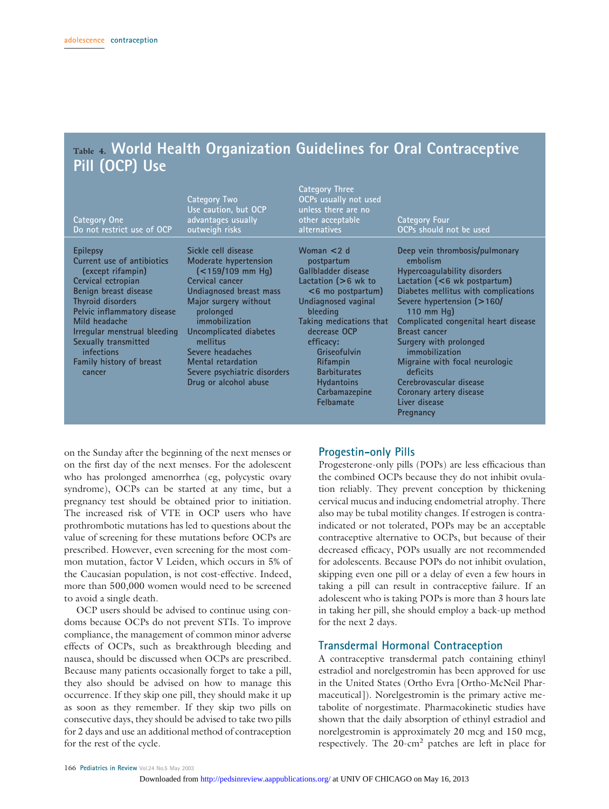# **Table 4. World Health Organization Guidelines for Oral Contraceptive Pill (OCP) Use**

**Category One Do not restrict use of OCP**

#### **Epilepsy**

**Current use of antibiotics (except rifampin) Cervical ectropian Benign breast disease Thyroid disorders Pelvic inflammatory disease Mild headache Irregular menstrual bleeding Sexually transmitted infections Family history of breast cancer**

**Category Two Use caution, but OCP advantages usually outweigh risks**

**Sickle cell disease Moderate hypertension (<159/109 mm Hg) Cervical cancer Undiagnosed breast mass Major surgery without prolonged immobilization Uncomplicated diabetes mellitus Severe headaches Mental retardation Severe psychiatric disorders Drug or alcohol abuse**

**Category Three OCPs usually not used unless there are no other acceptable alternatives**

**Woman <2 d postpartum Gallbladder disease Lactation (>6 wk to <6 mo postpartum) Undiagnosed vaginal bleeding Taking medications that decrease OCP efficacy: Griseofulvin Rifampin Barbiturates Hydantoins Carbamazepine Felbamate**

**Category Four OCPs should not be used**

**Deep vein thrombosis/pulmonary embolism Hypercoagulability disorders Lactation (<6 wk postpartum) Diabetes mellitus with complications Severe hypertension (>160/ 110 mm Hg) Complicated congenital heart disease Breast cancer Surgery with prolonged immobilization Migraine with focal neurologic deficits Cerebrovascular disease Coronary artery disease Liver disease Pregnancy**

on the Sunday after the beginning of the next menses or on the first day of the next menses. For the adolescent who has prolonged amenorrhea (eg, polycystic ovary syndrome), OCPs can be started at any time, but a pregnancy test should be obtained prior to initiation. The increased risk of VTE in OCP users who have prothrombotic mutations has led to questions about the value of screening for these mutations before OCPs are prescribed. However, even screening for the most common mutation, factor V Leiden, which occurs in 5% of the Caucasian population, is not cost-effective. Indeed, more than 500,000 women would need to be screened to avoid a single death.

OCP users should be advised to continue using condoms because OCPs do not prevent STIs. To improve compliance, the management of common minor adverse effects of OCPs, such as breakthrough bleeding and nausea, should be discussed when OCPs are prescribed. Because many patients occasionally forget to take a pill, they also should be advised on how to manage this occurrence. If they skip one pill, they should make it up as soon as they remember. If they skip two pills on consecutive days, they should be advised to take two pills for 2 days and use an additional method of contraception for the rest of the cycle.

## **Progestin-only Pills**

Progesterone-only pills (POPs) are less efficacious than the combined OCPs because they do not inhibit ovulation reliably. They prevent conception by thickening cervical mucus and inducing endometrial atrophy. There also may be tubal motility changes. If estrogen is contraindicated or not tolerated, POPs may be an acceptable contraceptive alternative to OCPs, but because of their decreased efficacy, POPs usually are not recommended for adolescents. Because POPs do not inhibit ovulation, skipping even one pill or a delay of even a few hours in taking a pill can result in contraceptive failure. If an adolescent who is taking POPs is more than 3 hours late in taking her pill, she should employ a back-up method for the next 2 days.

#### **Transdermal Hormonal Contraception**

A contraceptive transdermal patch containing ethinyl estradiol and norelgestromin has been approved for use in the United States (Ortho Evra [Ortho-McNeil Pharmaceutical]). Norelgestromin is the primary active metabolite of norgestimate. Pharmacokinetic studies have shown that the daily absorption of ethinyl estradiol and norelgestromin is approximately 20 mcg and 150 mcg, respectively. The 20-cm2 patches are left in place for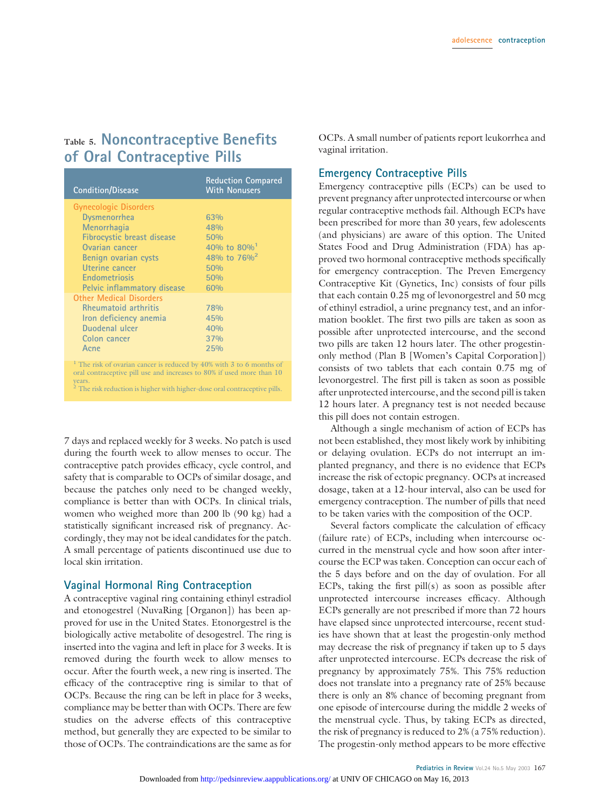# **Table 5. Noncontraceptive Benefits of Oral Contraceptive Pills**

| <b>Condition/Disease</b>                                                                                                                                                                                                                                     | <b>Reduction Compared</b><br><b>With Nonusers</b> |
|--------------------------------------------------------------------------------------------------------------------------------------------------------------------------------------------------------------------------------------------------------------|---------------------------------------------------|
| <b>Gynecologic Disorders</b>                                                                                                                                                                                                                                 |                                                   |
| <b>Dysmenorrhea</b>                                                                                                                                                                                                                                          | 63%                                               |
| Menorrhagia                                                                                                                                                                                                                                                  | 48%                                               |
| <b>Fibrocystic breast disease</b>                                                                                                                                                                                                                            | 50%                                               |
| Ovarian cancer                                                                                                                                                                                                                                               | 40% to 80% <sup>1</sup>                           |
| Benign ovarian cysts                                                                                                                                                                                                                                         | 48% to 76% <sup>2</sup>                           |
| Uterine cancer                                                                                                                                                                                                                                               | 50%                                               |
| <b>Endometriosis</b>                                                                                                                                                                                                                                         | 50%                                               |
| Pelvic inflammatory disease                                                                                                                                                                                                                                  | 60%                                               |
| <b>Other Medical Disorders</b>                                                                                                                                                                                                                               |                                                   |
| <b>Rheumatoid arthritis</b>                                                                                                                                                                                                                                  | 78%                                               |
| Iron deficiency anemia                                                                                                                                                                                                                                       | 45%                                               |
| Duodenal ulcer                                                                                                                                                                                                                                               | 40%                                               |
| Colon cancer                                                                                                                                                                                                                                                 | 37%                                               |
| Acne                                                                                                                                                                                                                                                         | 25%                                               |
| <sup>1</sup> The risk of ovarian cancer is reduced by 40% with $3$ to 6 months of<br>oral contraceptive pill use and increases to 80% if used more than 10<br>years.<br><sup>2</sup> The risk reduction is higher with higher-dose oral contraceptive pills. |                                                   |

7 days and replaced weekly for 3 weeks. No patch is used during the fourth week to allow menses to occur. The contraceptive patch provides efficacy, cycle control, and safety that is comparable to OCPs of similar dosage, and because the patches only need to be changed weekly, compliance is better than with OCPs. In clinical trials, women who weighed more than 200 lb (90 kg) had a statistically significant increased risk of pregnancy. Accordingly, they may not be ideal candidates for the patch. A small percentage of patients discontinued use due to local skin irritation.

## **Vaginal Hormonal Ring Contraception**

A contraceptive vaginal ring containing ethinyl estradiol and etonogestrel (NuvaRing [Organon]) has been approved for use in the United States. Etonorgestrel is the biologically active metabolite of desogestrel. The ring is inserted into the vagina and left in place for 3 weeks. It is removed during the fourth week to allow menses to occur. After the fourth week, a new ring is inserted. The efficacy of the contraceptive ring is similar to that of OCPs. Because the ring can be left in place for 3 weeks, compliance may be better than with OCPs. There are few studies on the adverse effects of this contraceptive method, but generally they are expected to be similar to those of OCPs. The contraindications are the same as for

OCPs. A small number of patients report leukorrhea and vaginal irritation.

## **Emergency Contraceptive Pills**

Emergency contraceptive pills (ECPs) can be used to prevent pregnancy after unprotected intercourse or when regular contraceptive methods fail. Although ECPs have been prescribed for more than 30 years, few adolescents (and physicians) are aware of this option. The United States Food and Drug Administration (FDA) has approved two hormonal contraceptive methods specifically for emergency contraception. The Preven Emergency Contraceptive Kit (Gynetics, Inc) consists of four pills that each contain 0.25 mg of levonorgestrel and 50 mcg of ethinyl estradiol, a urine pregnancy test, and an information booklet. The first two pills are taken as soon as possible after unprotected intercourse, and the second two pills are taken 12 hours later. The other progestinonly method (Plan B [Women's Capital Corporation]) consists of two tablets that each contain 0.75 mg of levonorgestrel. The first pill is taken as soon as possible after unprotected intercourse, and the second pill is taken 12 hours later. A pregnancy test is not needed because this pill does not contain estrogen.

Although a single mechanism of action of ECPs has not been established, they most likely work by inhibiting or delaying ovulation. ECPs do not interrupt an implanted pregnancy, and there is no evidence that ECPs increase the risk of ectopic pregnancy. OCPs at increased dosage, taken at a 12-hour interval, also can be used for emergency contraception. The number of pills that need to be taken varies with the composition of the OCP.

Several factors complicate the calculation of efficacy (failure rate) of ECPs, including when intercourse occurred in the menstrual cycle and how soon after intercourse the ECP was taken. Conception can occur each of the 5 days before and on the day of ovulation. For all ECPs, taking the first pill(s) as soon as possible after unprotected intercourse increases efficacy. Although ECPs generally are not prescribed if more than 72 hours have elapsed since unprotected intercourse, recent studies have shown that at least the progestin-only method may decrease the risk of pregnancy if taken up to 5 days after unprotected intercourse. ECPs decrease the risk of pregnancy by approximately 75%. This 75% reduction does not translate into a pregnancy rate of 25% because there is only an 8% chance of becoming pregnant from one episode of intercourse during the middle 2 weeks of the menstrual cycle. Thus, by taking ECPs as directed, the risk of pregnancy is reduced to 2% (a 75% reduction). The progestin-only method appears to be more effective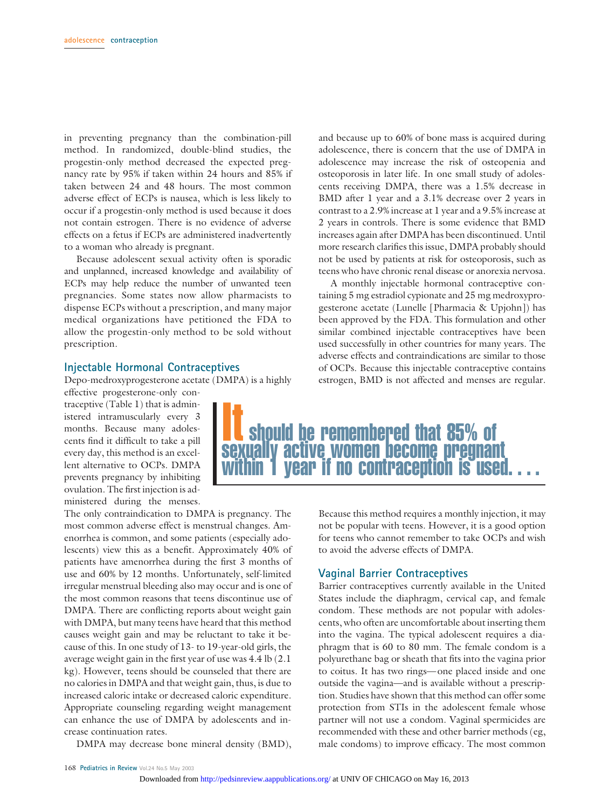in preventing pregnancy than the combination-pill method. In randomized, double-blind studies, the progestin-only method decreased the expected pregnancy rate by 95% if taken within 24 hours and 85% if taken between 24 and 48 hours. The most common adverse effect of ECPs is nausea, which is less likely to occur if a progestin-only method is used because it does not contain estrogen. There is no evidence of adverse effects on a fetus if ECPs are administered inadvertently to a woman who already is pregnant.

Because adolescent sexual activity often is sporadic and unplanned, increased knowledge and availability of ECPs may help reduce the number of unwanted teen pregnancies. Some states now allow pharmacists to dispense ECPs without a prescription, and many major medical organizations have petitioned the FDA to allow the progestin-only method to be sold without prescription.

#### **Injectable Hormonal Contraceptives**

Depo-medroxyprogesterone acetate (DMPA) is a highly

effective progesterone-only contraceptive (Table 1) that is administered intramuscularly every 3 months. Because many adolescents find it difficult to take a pill every day, this method is an excellent alternative to OCPs. DMPA prevents pregnancy by inhibiting ovulation. The first injection is administered during the menses.

The only contraindication to DMPA is pregnancy. The most common adverse effect is menstrual changes. Amenorrhea is common, and some patients (especially adolescents) view this as a benefit. Approximately 40% of patients have amenorrhea during the first 3 months of use and 60% by 12 months. Unfortunately, self-limited irregular menstrual bleeding also may occur and is one of the most common reasons that teens discontinue use of DMPA. There are conflicting reports about weight gain with DMPA, but many teens have heard that this method causes weight gain and may be reluctant to take it because of this. In one study of 13- to 19-year-old girls, the average weight gain in the first year of use was 4.4 lb (2.1 kg). However, teens should be counseled that there are no calories in DMPA and that weight gain, thus, is due to increased caloric intake or decreased caloric expenditure. Appropriate counseling regarding weight management can enhance the use of DMPA by adolescents and increase continuation rates.

DMPA may decrease bone mineral density (BMD),

It should be remembered that 85% of search women become pregnant<br>in 1 year if no contraception is used...

Because this method requires a monthly injection, it may not be popular with teens. However, it is a good option for teens who cannot remember to take OCPs and wish to avoid the adverse effects of DMPA.

and because up to 60% of bone mass is acquired during adolescence, there is concern that the use of DMPA in adolescence may increase the risk of osteopenia and osteoporosis in later life. In one small study of adolescents receiving DMPA, there was a 1.5% decrease in BMD after 1 year and a 3.1% decrease over 2 years in contrast to a 2.9% increase at 1 year and a 9.5% increase at 2 years in controls. There is some evidence that BMD increases again after DMPA has been discontinued. Until more research clarifies this issue, DMPA probably should not be used by patients at risk for osteoporosis, such as teens who have chronic renal disease or anorexia nervosa. A monthly injectable hormonal contraceptive containing 5 mg estradiol cypionate and 25 mg medroxyprogesterone acetate (Lunelle [Pharmacia & Upjohn]) has been approved by the FDA. This formulation and other similar combined injectable contraceptives have been used successfully in other countries for many years. The adverse effects and contraindications are similar to those of OCPs. Because this injectable contraceptive contains estrogen, BMD is not affected and menses are regular.

## **Vaginal Barrier Contraceptives**

Barrier contraceptives currently available in the United States include the diaphragm, cervical cap, and female condom. These methods are not popular with adolescents, who often are uncomfortable about inserting them into the vagina. The typical adolescent requires a diaphragm that is 60 to 80 mm. The female condom is a polyurethane bag or sheath that fits into the vagina prior to coitus. It has two rings—one placed inside and one outside the vagina—and is available without a prescription. Studies have shown that this method can offer some protection from STIs in the adolescent female whose partner will not use a condom. Vaginal spermicides are recommended with these and other barrier methods (eg, male condoms) to improve efficacy. The most common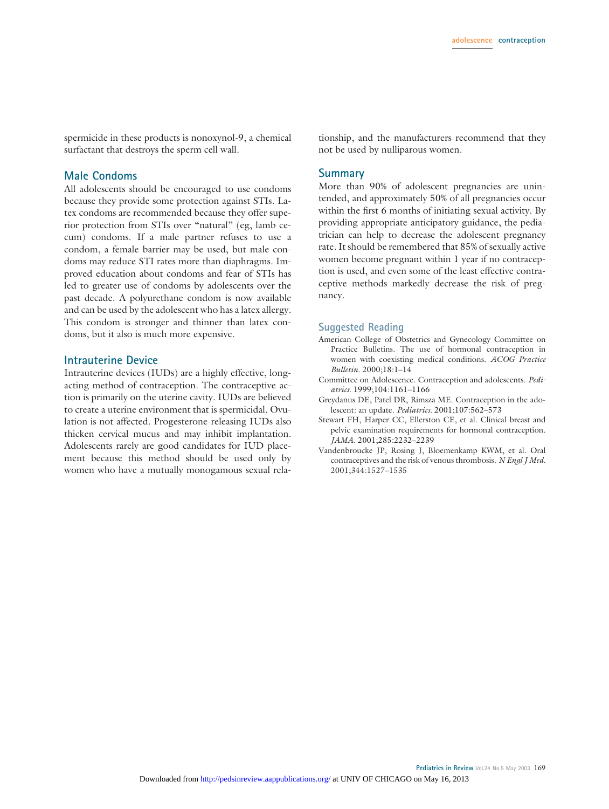spermicide in these products is nonoxynol-9, a chemical surfactant that destroys the sperm cell wall.

#### **Male Condoms**

All adolescents should be encouraged to use condoms because they provide some protection against STIs. Latex condoms are recommended because they offer superior protection from STIs over "natural" (eg, lamb cecum) condoms. If a male partner refuses to use a condom, a female barrier may be used, but male condoms may reduce STI rates more than diaphragms. Improved education about condoms and fear of STIs has led to greater use of condoms by adolescents over the past decade. A polyurethane condom is now available and can be used by the adolescent who has a latex allergy. This condom is stronger and thinner than latex condoms, but it also is much more expensive.

## **Intrauterine Device**

Intrauterine devices (IUDs) are a highly effective, longacting method of contraception. The contraceptive action is primarily on the uterine cavity. IUDs are believed to create a uterine environment that is spermicidal. Ovulation is not affected. Progesterone-releasing IUDs also thicken cervical mucus and may inhibit implantation. Adolescents rarely are good candidates for IUD placement because this method should be used only by women who have a mutually monogamous sexual relationship, and the manufacturers recommend that they not be used by nulliparous women.

#### **Summary**

More than 90% of adolescent pregnancies are unintended, and approximately 50% of all pregnancies occur within the first 6 months of initiating sexual activity. By providing appropriate anticipatory guidance, the pediatrician can help to decrease the adolescent pregnancy rate. It should be remembered that 85% of sexually active women become pregnant within 1 year if no contraception is used, and even some of the least effective contraceptive methods markedly decrease the risk of pregnancy.

#### **Suggested Reading**

- American College of Obstetrics and Gynecology Committee on Practice Bulletins. The use of hormonal contraception in women with coexisting medical conditions. *ACOG Practice Bulletin.* 2000;18:1–14
- Committee on Adolescence. Contraception and adolescents. *Pediatrics.* 1999;104:1161–1166
- Greydanus DE, Patel DR, Rimsza ME. Contraception in the adolescent: an update. *Pediatrics.* 2001;107:562–573
- Stewart FH, Harper CC, Ellerston CE, et al. Clinical breast and pelvic examination requirements for hormonal contraception. *JAMA.* 2001;285:2232–2239
- Vandenbroucke JP, Rosing J, Bloemenkamp KWM, et al. Oral contraceptives and the risk of venous thrombosis. *N Engl J Med.* 2001;344:1527–1535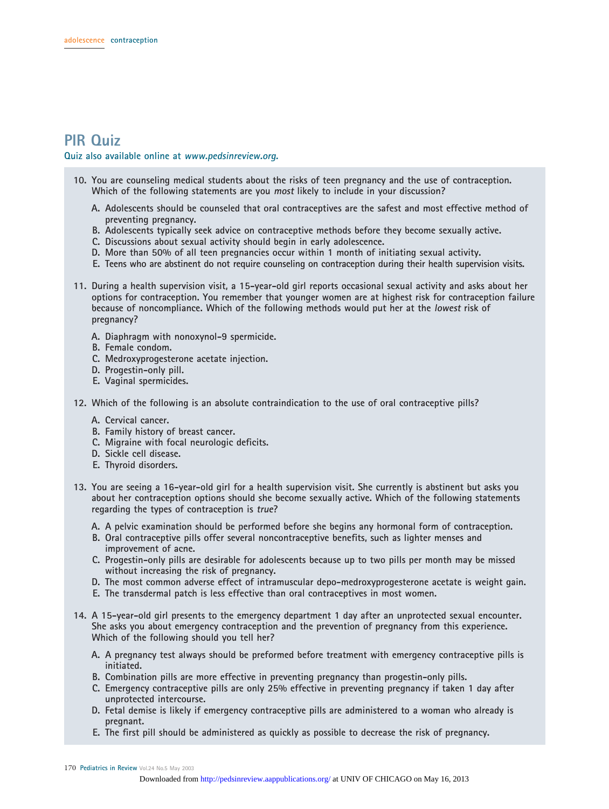# **PIR Quiz**

## **Quiz also available online at www.pedsinreview.org.**

- **10. You are counseling medical students about the risks of teen pregnancy and the use of contraception. Which of the following statements are you most likely to include in your discussion?**
	- **A. Adolescents should be counseled that oral contraceptives are the safest and most effective method of preventing pregnancy.**
	- **B. Adolescents typically seek advice on contraceptive methods before they become sexually active.**
	- **C. Discussions about sexual activity should begin in early adolescence.**
	- **D. More than 50% of all teen pregnancies occur within 1 month of initiating sexual activity.**
	- **E. Teens who are abstinent do not require counseling on contraception during their health supervision visits.**
- **11. During a health supervision visit, a 15-year-old girl reports occasional sexual activity and asks about her options for contraception. You remember that younger women are at highest risk for contraception failure because of noncompliance. Which of the following methods would put her at the lowest risk of pregnancy?**
	- **A. Diaphragm with nonoxynol-9 spermicide.**
	- **B. Female condom.**
	- **C. Medroxyprogesterone acetate injection.**
	- **D. Progestin-only pill.**
	- **E. Vaginal spermicides.**
- **12. Which of the following is an absolute contraindication to the use of oral contraceptive pills?**
	- **A. Cervical cancer.**
	- **B. Family history of breast cancer.**
	- **C. Migraine with focal neurologic deficits.**
	- **D. Sickle cell disease.**
	- **E. Thyroid disorders.**
- **13. You are seeing a 16-year-old girl for a health supervision visit. She currently is abstinent but asks you about her contraception options should she become sexually active. Which of the following statements regarding the types of contraception is true?**
	- **A. A pelvic examination should be performed before she begins any hormonal form of contraception.**
	- **B. Oral contraceptive pills offer several noncontraceptive benefits, such as lighter menses and improvement of acne.**
	- **C. Progestin-only pills are desirable for adolescents because up to two pills per month may be missed without increasing the risk of pregnancy.**
	- **D. The most common adverse effect of intramuscular depo-medroxyprogesterone acetate is weight gain.**
	- **E. The transdermal patch is less effective than oral contraceptives in most women.**
- **14. A 15-year-old girl presents to the emergency department 1 day after an unprotected sexual encounter. She asks you about emergency contraception and the prevention of pregnancy from this experience. Which of the following should you tell her?**
	- **A. A pregnancy test always should be preformed before treatment with emergency contraceptive pills is initiated.**
	- **B. Combination pills are more effective in preventing pregnancy than progestin-only pills.**
	- **C. Emergency contraceptive pills are only 25% effective in preventing pregnancy if taken 1 day after unprotected intercourse.**
	- **D. Fetal demise is likely if emergency contraceptive pills are administered to a woman who already is pregnant.**
	- **E. The first pill should be administered as quickly as possible to decrease the risk of pregnancy.**